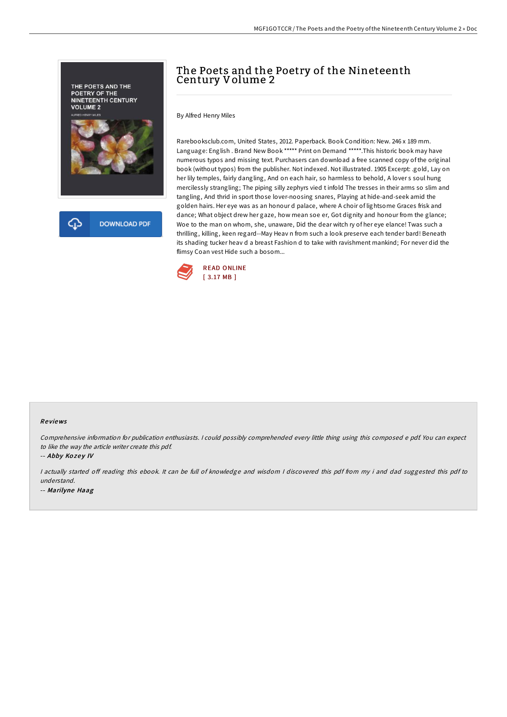

# The Poets and the Poetry of the Nineteenth Century Volume 2

By Alfred Henry Miles

Rarebooksclub.com, United States, 2012. Paperback. Book Condition: New. 246 x 189 mm. Language: English . Brand New Book \*\*\*\*\* Print on Demand \*\*\*\*\*.This historic book may have numerous typos and missing text. Purchasers can download a free scanned copy of the original book (without typos) from the publisher. Not indexed. Not illustrated. 1905 Excerpt: .gold, Lay on her lily temples, fairly dangling, And on each hair, so harmless to behold, A lover s soul hung mercilessly strangling; The piping silly zephyrs vied t infold The tresses in their arms so slim and tangling, And thrid in sport those lover-noosing snares, Playing at hide-and-seek amid the golden hairs. Her eye was as an honour d palace, where A choir of lightsome Graces frisk and dance; What object drew her gaze, how mean soe er, Got dignity and honour from the glance; Woe to the man on whom, she, unaware, Did the dear witch ry of her eye elance! Twas such a thrilling, killing, keen regard--May Heav n from such a look preserve each tender bard! Beneath its shading tucker heav d a breast Fashion d to take with ravishment mankind; For never did the flimsy Coan vest Hide such a bosom...



#### Re views

Comprehensive information for publication enthusiasts. <sup>I</sup> could possibly comprehended every little thing using this composed <sup>e</sup> pdf. You can expect to like the way the article writer create this pdf.

-- Abby Kozey IV

I actually started off reading this ebook. It can be full of knowledge and wisdom I discovered this pdf from my i and dad suggested this pdf to understand.

-- Marilyne Haag